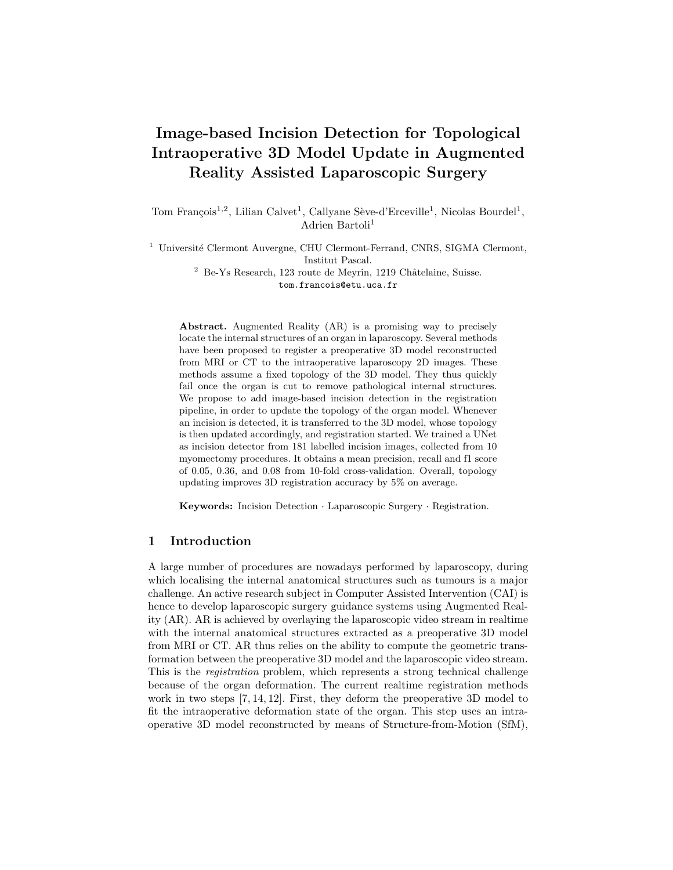# Image-based Incision Detection for Topological Intraoperative 3D Model Update in Augmented Reality Assisted Laparoscopic Surgery

Tom François<sup>1,2</sup>, Lilian Calvet<sup>1</sup>, Callyane Sève-d'Erceville<sup>1</sup>, Nicolas Bourdel<sup>1</sup>, Adrien Bartoli<sup>1</sup>

 $^{\rm 1}$ Université Clermont Auvergne, CHU Clermont-Ferrand, CNRS, SIGMA Clermont, Institut Pascal.  $^2$  Be-Ys Research, 123 route de Meyrin, 1219 Châtelaine, Suisse. tom.francois@etu.uca.fr

Abstract. Augmented Reality (AR) is a promising way to precisely locate the internal structures of an organ in laparoscopy. Several methods have been proposed to register a preoperative 3D model reconstructed from MRI or CT to the intraoperative laparoscopy 2D images. These methods assume a fixed topology of the 3D model. They thus quickly fail once the organ is cut to remove pathological internal structures. We propose to add image-based incision detection in the registration pipeline, in order to update the topology of the organ model. Whenever an incision is detected, it is transferred to the 3D model, whose topology is then updated accordingly, and registration started. We trained a UNet as incision detector from 181 labelled incision images, collected from 10 myomectomy procedures. It obtains a mean precision, recall and f1 score of 0.05, 0.36, and 0.08 from 10-fold cross-validation. Overall, topology updating improves 3D registration accuracy by 5% on average.

Keywords: Incision Detection · Laparoscopic Surgery · Registration.

## 1 Introduction

A large number of procedures are nowadays performed by laparoscopy, during which localising the internal anatomical structures such as tumours is a major challenge. An active research subject in Computer Assisted Intervention (CAI) is hence to develop laparoscopic surgery guidance systems using Augmented Reality (AR). AR is achieved by overlaying the laparoscopic video stream in realtime with the internal anatomical structures extracted as a preoperative 3D model from MRI or CT. AR thus relies on the ability to compute the geometric transformation between the preoperative 3D model and the laparoscopic video stream. This is the registration problem, which represents a strong technical challenge because of the organ deformation. The current realtime registration methods work in two steps [7, 14, 12]. First, they deform the preoperative 3D model to fit the intraoperative deformation state of the organ. This step uses an intraoperative 3D model reconstructed by means of Structure-from-Motion (SfM),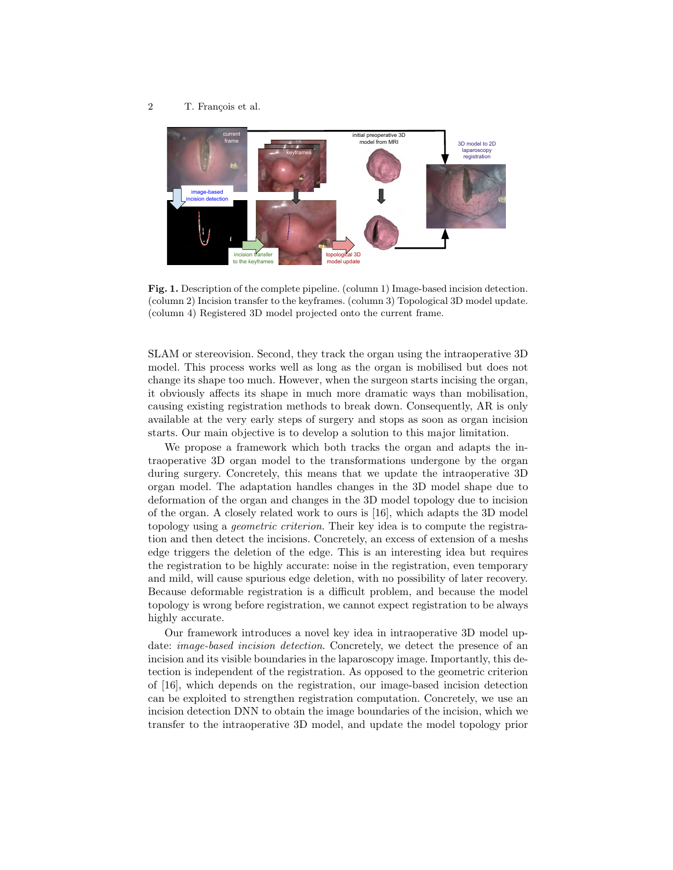

Fig. 1. Description of the complete pipeline. (column 1) Image-based incision detection. (column 2) Incision transfer to the keyframes. (column 3) Topological 3D model update. (column 4) Registered 3D model projected onto the current frame.

SLAM or stereovision. Second, they track the organ using the intraoperative 3D model. This process works well as long as the organ is mobilised but does not change its shape too much. However, when the surgeon starts incising the organ, it obviously affects its shape in much more dramatic ways than mobilisation, causing existing registration methods to break down. Consequently, AR is only available at the very early steps of surgery and stops as soon as organ incision starts. Our main objective is to develop a solution to this major limitation.

We propose a framework which both tracks the organ and adapts the intraoperative 3D organ model to the transformations undergone by the organ during surgery. Concretely, this means that we update the intraoperative 3D organ model. The adaptation handles changes in the 3D model shape due to deformation of the organ and changes in the 3D model topology due to incision of the organ. A closely related work to ours is [16], which adapts the 3D model topology using a geometric criterion. Their key idea is to compute the registration and then detect the incisions. Concretely, an excess of extension of a meshs edge triggers the deletion of the edge. This is an interesting idea but requires the registration to be highly accurate: noise in the registration, even temporary and mild, will cause spurious edge deletion, with no possibility of later recovery. Because deformable registration is a difficult problem, and because the model topology is wrong before registration, we cannot expect registration to be always highly accurate.

Our framework introduces a novel key idea in intraoperative 3D model update: *image-based incision detection*. Concretely, we detect the presence of an incision and its visible boundaries in the laparoscopy image. Importantly, this detection is independent of the registration. As opposed to the geometric criterion of [16], which depends on the registration, our image-based incision detection can be exploited to strengthen registration computation. Concretely, we use an incision detection DNN to obtain the image boundaries of the incision, which we transfer to the intraoperative 3D model, and update the model topology prior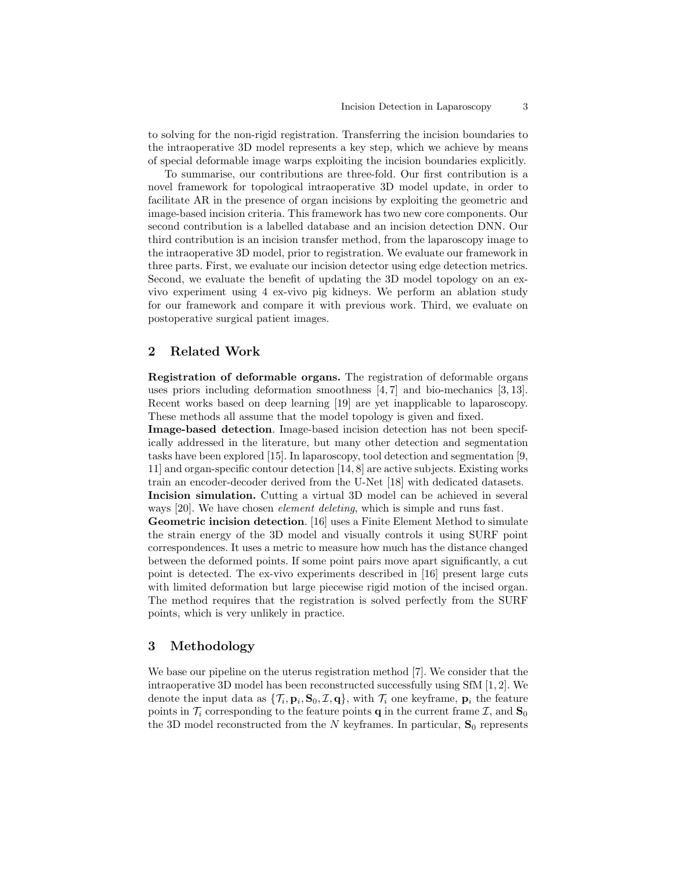to solving for the non-rigid registration. Transferring the incision boundaries to the intraoperative 3D model represents a key step, which we achieve by means of special deformable image warps exploiting the incision boundaries explicitly.

To summarise, our contributions are three-fold. Our first contribution is a novel framework for topological intraoperative 3D model update, in order to facilitate AR in the presence of organ incisions by exploiting the geometric and image-based incision criteria. This framework has two new core components. Our second contribution is a labelled database and an incision detection DNN. Our third contribution is an incision transfer method, from the laparoscopy image to the intraoperative 3D model, prior to registration. We evaluate our framework in three parts. First, we evaluate our incision detector using edge detection metrics. Second, we evaluate the benefit of updating the 3D model topology on an exvivo experiment using 4 ex-vivo pig kidneys. We perform an ablation study for our framework and compare it with previous work. Third, we evaluate on postoperative surgical patient images.

# 2 Related Work

Registration of deformable organs. The registration of deformable organs uses priors including deformation smoothness [4, 7] and bio-mechanics [3, 13]. Recent works based on deep learning [19] are yet inapplicable to laparoscopy. These methods all assume that the model topology is given and fixed.

Image-based detection. Image-based incision detection has not been specifically addressed in the literature, but many other detection and segmentation tasks have been explored [15]. In laparoscopy, tool detection and segmentation [9, 11] and organ-specific contour detection [14, 8] are active subjects. Existing works train an encoder-decoder derived from the U-Net [18] with dedicated datasets. Incision simulation. Cutting a virtual 3D model can be achieved in several

ways [20]. We have chosen *element deleting*, which is simple and runs fast.

Geometric incision detection. [16] uses a Finite Element Method to simulate the strain energy of the 3D model and visually controls it using SURF point correspondences. It uses a metric to measure how much has the distance changed between the deformed points. If some point pairs move apart significantly, a cut point is detected. The ex-vivo experiments described in [16] present large cuts with limited deformation but large piecewise rigid motion of the incised organ. The method requires that the registration is solved perfectly from the SURF points, which is very unlikely in practice.

# 3 Methodology

We base our pipeline on the uterus registration method [7]. We consider that the intraoperative 3D model has been reconstructed successfully using SfM [1, 2]. We denote the input data as  $\{\mathcal{T}_i, \mathbf{p}_i, \mathbf{S}_0, \mathcal{I}, \mathbf{q}\},\$  with  $\mathcal{T}_i$  one keyframe,  $\mathbf{p}_i$  the feature points in  $\mathcal{T}_i$  corresponding to the feature points **q** in the current frame  $\mathcal{I}$ , and  $\mathbf{S}_0$ the 3D model reconstructed from the N keyframes. In particular,  $S_0$  represents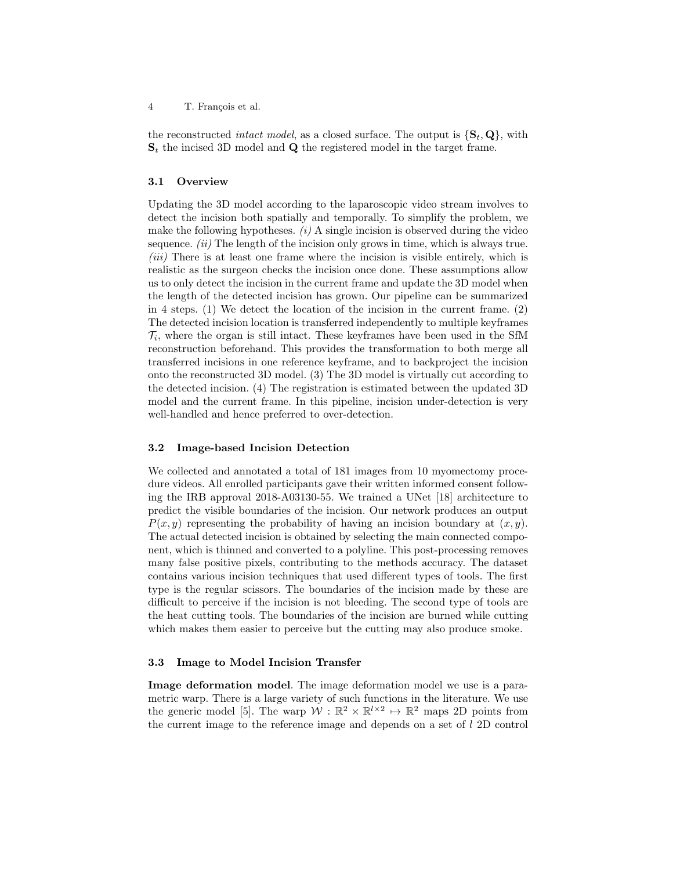the reconstructed *intact model*, as a closed surface. The output is  $\{S_t, Q\}$ , with  $S_t$  the incised 3D model and Q the registered model in the target frame.

#### 3.1 Overview

Updating the 3D model according to the laparoscopic video stream involves to detect the incision both spatially and temporally. To simplify the problem, we make the following hypotheses.  $(i)$  A single incision is observed during the video sequence.  $(ii)$  The length of the incision only grows in time, which is always true. (iii) There is at least one frame where the incision is visible entirely, which is realistic as the surgeon checks the incision once done. These assumptions allow us to only detect the incision in the current frame and update the 3D model when the length of the detected incision has grown. Our pipeline can be summarized in 4 steps. (1) We detect the location of the incision in the current frame. (2) The detected incision location is transferred independently to multiple keyframes  $\mathcal{T}_i$ , where the organ is still intact. These keyframes have been used in the SfM reconstruction beforehand. This provides the transformation to both merge all transferred incisions in one reference keyframe, and to backproject the incision onto the reconstructed 3D model. (3) The 3D model is virtually cut according to the detected incision. (4) The registration is estimated between the updated 3D model and the current frame. In this pipeline, incision under-detection is very well-handled and hence preferred to over-detection.

### 3.2 Image-based Incision Detection

We collected and annotated a total of 181 images from 10 myomectomy procedure videos. All enrolled participants gave their written informed consent following the IRB approval 2018-A03130-55. We trained a UNet [18] architecture to predict the visible boundaries of the incision. Our network produces an output  $P(x, y)$  representing the probability of having an incision boundary at  $(x, y)$ . The actual detected incision is obtained by selecting the main connected component, which is thinned and converted to a polyline. This post-processing removes many false positive pixels, contributing to the methods accuracy. The dataset contains various incision techniques that used different types of tools. The first type is the regular scissors. The boundaries of the incision made by these are difficult to perceive if the incision is not bleeding. The second type of tools are the heat cutting tools. The boundaries of the incision are burned while cutting which makes them easier to perceive but the cutting may also produce smoke.

#### 3.3 Image to Model Incision Transfer

Image deformation model. The image deformation model we use is a parametric warp. There is a large variety of such functions in the literature. We use the generic model [5]. The warp  $W : \mathbb{R}^2 \times \mathbb{R}^{l \times 2} \mapsto \mathbb{R}^2$  maps 2D points from the current image to the reference image and depends on a set of l 2D control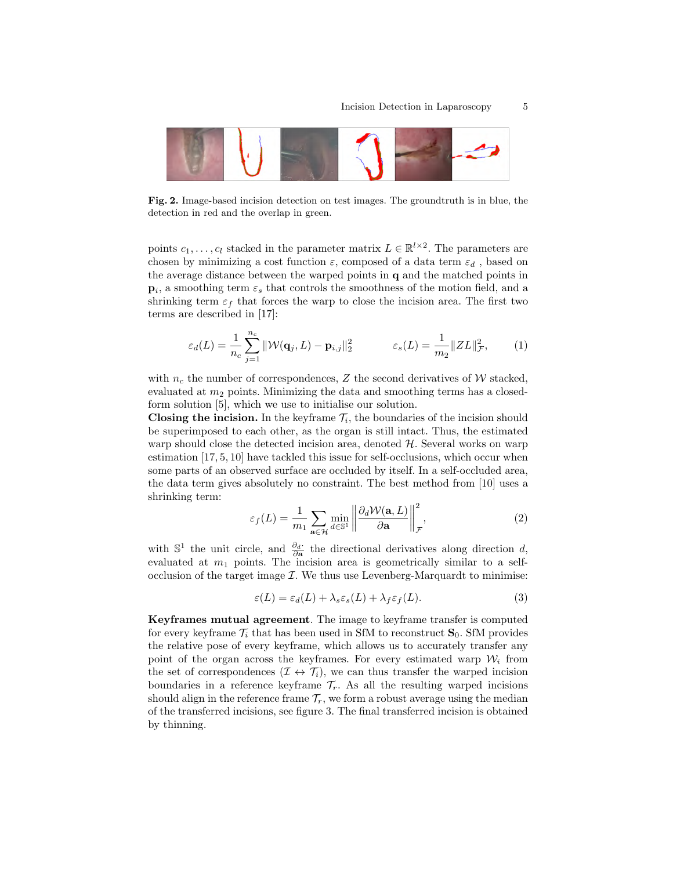

Fig. 2. Image-based incision detection on test images. The groundtruth is in blue, the detection in red and the overlap in green.

points  $c_1, \ldots, c_l$  stacked in the parameter matrix  $L \in \mathbb{R}^{l \times 2}$ . The parameters are chosen by minimizing a cost function  $\varepsilon$ , composed of a data term  $\varepsilon_d$ , based on the average distance between the warped points in q and the matched points in  $\mathbf{p}_i$ , a smoothing term  $\varepsilon_s$  that controls the smoothness of the motion field, and a shrinking term  $\varepsilon_f$  that forces the warp to close the incision area. The first two terms are described in [17]:

$$
\varepsilon_d(L) = \frac{1}{n_c} \sum_{j=1}^{n_c} ||\mathcal{W}(\mathbf{q}_j, L) - \mathbf{p}_{i,j}||_2^2 \qquad \qquad \varepsilon_s(L) = \frac{1}{m_2} ||ZL||_{\mathcal{F}}^2, \qquad (1)
$$

with  $n_c$  the number of correspondences, Z the second derivatives of W stacked, evaluated at  $m_2$  points. Minimizing the data and smoothing terms has a closedform solution [5], which we use to initialise our solution.

Closing the incision. In the keyframe  $\mathcal{T}_i$ , the boundaries of the incision should be superimposed to each other, as the organ is still intact. Thus, the estimated warp should close the detected incision area, denoted  $H$ . Several works on warp estimation [17, 5, 10] have tackled this issue for self-occlusions, which occur when some parts of an observed surface are occluded by itself. In a self-occluded area, the data term gives absolutely no constraint. The best method from [10] uses a shrinking term:

$$
\varepsilon_f(L) = \frac{1}{m_1} \sum_{\mathbf{a} \in \mathcal{H}} \min_{d \in \mathbb{S}^1} \left\| \frac{\partial_d \mathcal{W}(\mathbf{a}, L)}{\partial \mathbf{a}} \right\|_{\mathcal{F}}^2, \tag{2}
$$

with  $\mathbb{S}^1$  the unit circle, and  $\frac{\partial d}{\partial \mathbf{a}}$  the directional derivatives along direction d, evaluated at  $m_1$  points. The incision area is geometrically similar to a selfocclusion of the target image  $\mathcal{I}$ . We thus use Levenberg-Marquardt to minimise:

$$
\varepsilon(L) = \varepsilon_d(L) + \lambda_s \varepsilon_s(L) + \lambda_f \varepsilon_f(L). \tag{3}
$$

Keyframes mutual agreement. The image to keyframe transfer is computed for every keyframe  $\mathcal{T}_i$  that has been used in SfM to reconstruct  $\mathbf{S}_0$ . SfM provides the relative pose of every keyframe, which allows us to accurately transfer any point of the organ across the keyframes. For every estimated warp  $\mathcal{W}_i$  from the set of correspondences  $(\mathcal{I} \leftrightarrow \mathcal{T}_i)$ , we can thus transfer the warped incision boundaries in a reference keyframe  $\mathcal{T}_r$ . As all the resulting warped incisions should align in the reference frame  $\mathcal{T}_r$ , we form a robust average using the median of the transferred incisions, see figure 3. The final transferred incision is obtained by thinning.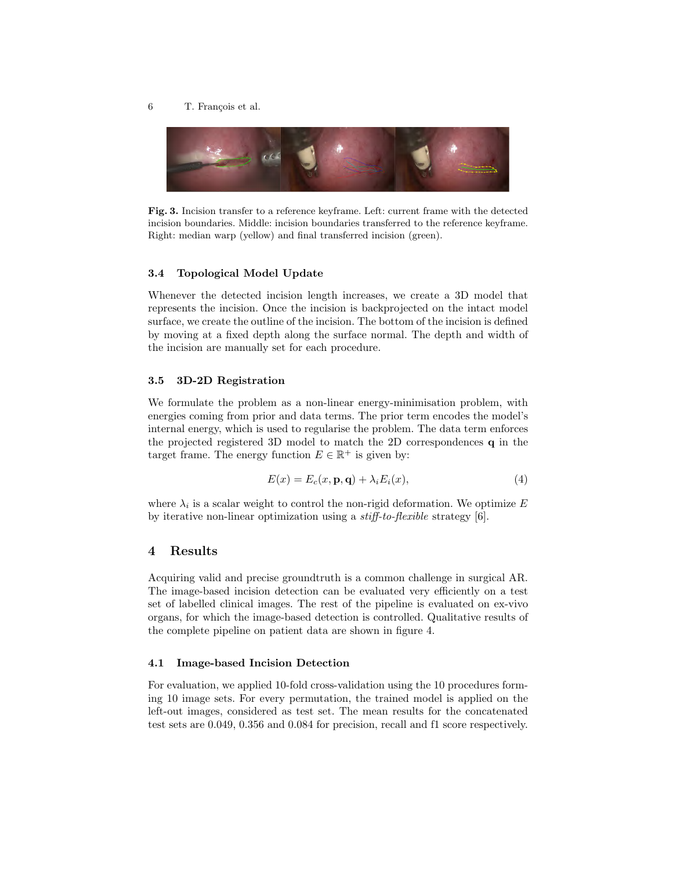

Fig. 3. Incision transfer to a reference keyframe. Left: current frame with the detected incision boundaries. Middle: incision boundaries transferred to the reference keyframe. Right: median warp (yellow) and final transferred incision (green).

#### 3.4 Topological Model Update

Whenever the detected incision length increases, we create a 3D model that represents the incision. Once the incision is backprojected on the intact model surface, we create the outline of the incision. The bottom of the incision is defined by moving at a fixed depth along the surface normal. The depth and width of the incision are manually set for each procedure.

#### 3.5 3D-2D Registration

We formulate the problem as a non-linear energy-minimisation problem, with energies coming from prior and data terms. The prior term encodes the model's internal energy, which is used to regularise the problem. The data term enforces the projected registered 3D model to match the 2D correspondences q in the target frame. The energy function  $E \in \mathbb{R}^+$  is given by:

$$
E(x) = E_c(x, \mathbf{p}, \mathbf{q}) + \lambda_i E_i(x), \tag{4}
$$

where  $\lambda_i$  is a scalar weight to control the non-rigid deformation. We optimize E by iterative non-linear optimization using a stiff-to-flexible strategy [6].

## 4 Results

Acquiring valid and precise groundtruth is a common challenge in surgical AR. The image-based incision detection can be evaluated very efficiently on a test set of labelled clinical images. The rest of the pipeline is evaluated on ex-vivo organs, for which the image-based detection is controlled. Qualitative results of the complete pipeline on patient data are shown in figure 4.

#### 4.1 Image-based Incision Detection

For evaluation, we applied 10-fold cross-validation using the 10 procedures forming 10 image sets. For every permutation, the trained model is applied on the left-out images, considered as test set. The mean results for the concatenated test sets are 0.049, 0.356 and 0.084 for precision, recall and f1 score respectively.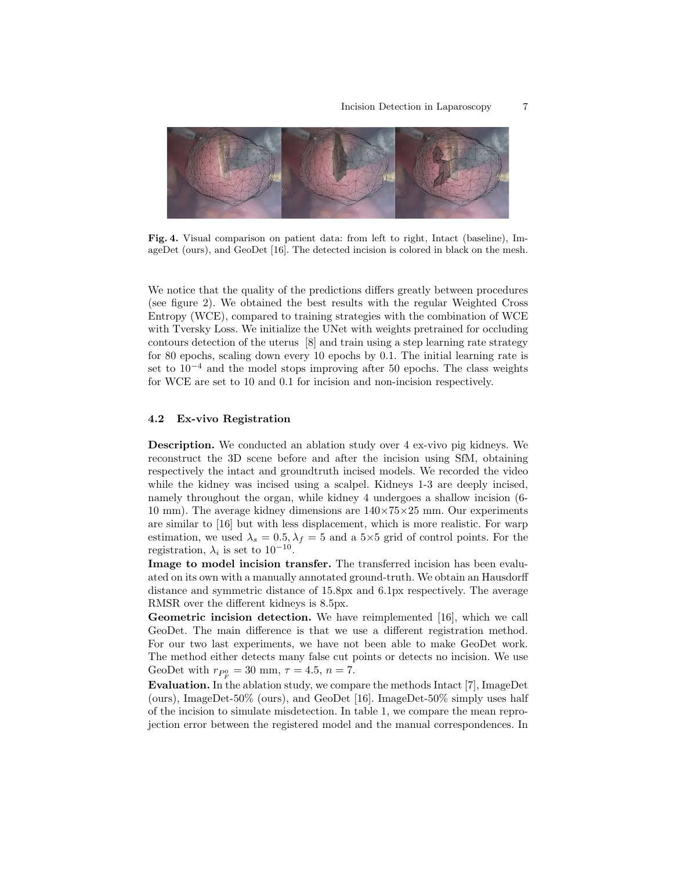

Fig. 4. Visual comparison on patient data: from left to right, Intact (baseline), ImageDet (ours), and GeoDet [16]. The detected incision is colored in black on the mesh.

We notice that the quality of the predictions differs greatly between procedures (see figure 2). We obtained the best results with the regular Weighted Cross Entropy (WCE), compared to training strategies with the combination of WCE with Tversky Loss. We initialize the UNet with weights pretrained for occluding contours detection of the uterus [8] and train using a step learning rate strategy for 80 epochs, scaling down every 10 epochs by 0.1. The initial learning rate is set to  $10^{-4}$  and the model stops improving after 50 epochs. The class weights for WCE are set to 10 and 0.1 for incision and non-incision respectively.

#### 4.2 Ex-vivo Registration

Description. We conducted an ablation study over 4 ex-vivo pig kidneys. We reconstruct the 3D scene before and after the incision using SfM, obtaining respectively the intact and groundtruth incised models. We recorded the video while the kidney was incised using a scalpel. Kidneys 1-3 are deeply incised, namely throughout the organ, while kidney 4 undergoes a shallow incision (6- 10 mm). The average kidney dimensions are  $140\times75\times25$  mm. Our experiments are similar to [16] but with less displacement, which is more realistic. For warp estimation, we used  $\lambda_s = 0.5, \lambda_f = 5$  and a 5×5 grid of control points. For the registration,  $\lambda_i$  is set to 10<sup>-10</sup>.

Image to model incision transfer. The transferred incision has been evaluated on its own with a manually annotated ground-truth. We obtain an Hausdorff distance and symmetric distance of 15.8px and 6.1px respectively. The average RMSR over the different kidneys is 8.5px.

Geometric incision detection. We have reimplemented [16], which we call GeoDet. The main difference is that we use a different registration method. For our two last experiments, we have not been able to make GeoDet work. The method either detects many false cut points or detects no incision. We use GeoDet with  $r_{P_F^0} = 30$  mm,  $\tau = 4.5$ ,  $n = 7$ .

Evaluation. In the ablation study, we compare the methods Intact [7], ImageDet (ours), ImageDet-50% (ours), and GeoDet [16]. ImageDet-50% simply uses half of the incision to simulate misdetection. In table 1, we compare the mean reprojection error between the registered model and the manual correspondences. In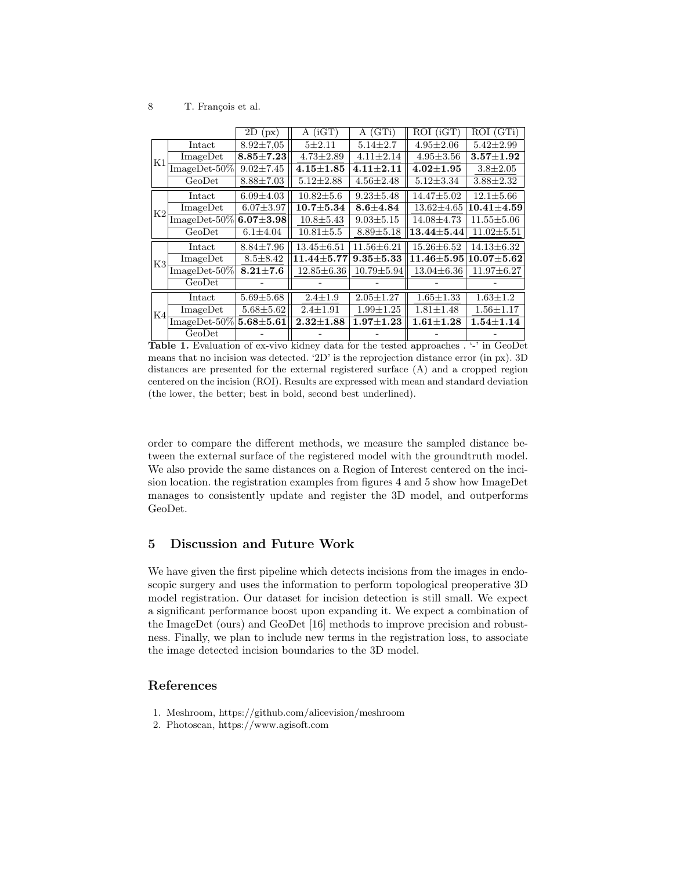|    |                      | 2D<br>(px)      | $A$ (iGT)        | A(GTi)           | ROI (iGT)          | ROI (GTi)        |
|----|----------------------|-----------------|------------------|------------------|--------------------|------------------|
|    |                      |                 |                  |                  |                    |                  |
| K1 | Intact               | $8.92 \pm 7.05$ | $5 + 2.11$       | $5.14 \pm 2.7$   | $4.95 \pm 2.06$    | $5.42 \pm 2.99$  |
|    | ImageDet             | $8.85 \pm 7.23$ | $4.73 \pm 2.89$  | $4.11 \pm 2.14$  | $4.95 \pm 3.56$    | $3.57 + 1.92$    |
|    | $ImageDet-50\%$      | $9.02 \pm 7.45$ | $4.15 \pm 1.85$  | $4.11 + 2.11$    | $4.02{\pm}1.95$    | $3.8 \pm 2.05$   |
|    | GeoDet               | $8.88 \pm 7.03$ | $5.12 \pm 2.88$  | $4.56 \pm 2.48$  | $5.12 \pm 3.34$    | $3.88 \pm 2.32$  |
| K2 | Intact               | $6.09 \pm 4.03$ | $10.82 \pm 5.6$  | $9.23 \pm 5.48$  | $14.47 \pm 5.02$   | $12.1 \pm 5.66$  |
|    | ImageDet             | $6.07 \pm 3.97$ | $10.7 + 5.34$    | $8.6 + 4.84$     | $13.62 \pm 4.65$   | $10.41 + 4.59$   |
|    | $ImageDet-50\%$      | $6.07 + 3.98$   | $10.8 \pm 5.43$  | $9.03 \pm 5.15$  | $14.08 \pm 4.73$   | $11.55 \pm 5.06$ |
|    | GeoDet               | $6.1 \pm 4.04$  | $10.81 \pm 5.5$  | $8.89 \pm 5.18$  | $13.44 {\pm} 5.44$ | $11.02 \pm 5.51$ |
| K3 | Intact               | $8.84 \pm 7.96$ | $13.45 \pm 6.51$ | $11.56 \pm 6.21$ | $15.26 \pm 6.52$   | $14.13 \pm 6.32$ |
|    | ImageDet             | $8.5 \pm 8.42$  | $11.44 \pm 5.77$ | $9.35 + 5.33$    | $11.46 {\pm} 5.95$ | $10.07{\pm}5.62$ |
|    | $ImageDet-50\%$      | $8.21 \pm 7.6$  | $12.85 \pm 6.36$ | $10.79 \pm 5.94$ | $13.04 \pm 6.36$   | $11.97 \pm 6.27$ |
|    | GeoDet               |                 |                  |                  |                    |                  |
| K4 | Intact               | $5.69 \pm 5.68$ | $2.4 \pm 1.9$    | $2.05 \pm 1.27$  | $1.65 \pm 1.33$    | $1.63 \pm 1.2$   |
|    | Image <sub>Det</sub> | $5.68 + 5.62$   | $2.4 \pm 1.91$   | $1.99 \pm 1.25$  | $1.81 \pm 1.48$    | $1.56 \pm 1.17$  |
|    | $ImageDet-50\%$      | $5.68 + 5.61$   | $2.32{\pm}1.88$  | $1.97 + 1.23$    | $1.61{\pm}1.28$    | $1.54 + 1.14$    |
|    | GeoDet               |                 |                  |                  |                    |                  |

Table 1. Evaluation of ex-vivo kidney data for the tested approaches . '-' in GeoDet means that no incision was detected. '2D' is the reprojection distance error (in px). 3D distances are presented for the external registered surface (A) and a cropped region centered on the incision (ROI). Results are expressed with mean and standard deviation (the lower, the better; best in bold, second best underlined).

order to compare the different methods, we measure the sampled distance between the external surface of the registered model with the groundtruth model. We also provide the same distances on a Region of Interest centered on the incision location. the registration examples from figures 4 and 5 show how ImageDet manages to consistently update and register the 3D model, and outperforms GeoDet.

# 5 Discussion and Future Work

We have given the first pipeline which detects incisions from the images in endoscopic surgery and uses the information to perform topological preoperative 3D model registration. Our dataset for incision detection is still small. We expect a significant performance boost upon expanding it. We expect a combination of the ImageDet (ours) and GeoDet [16] methods to improve precision and robustness. Finally, we plan to include new terms in the registration loss, to associate the image detected incision boundaries to the 3D model.

# References

- 1. Meshroom, https://github.com/alicevision/meshroom
- 2. Photoscan, https://www.agisoft.com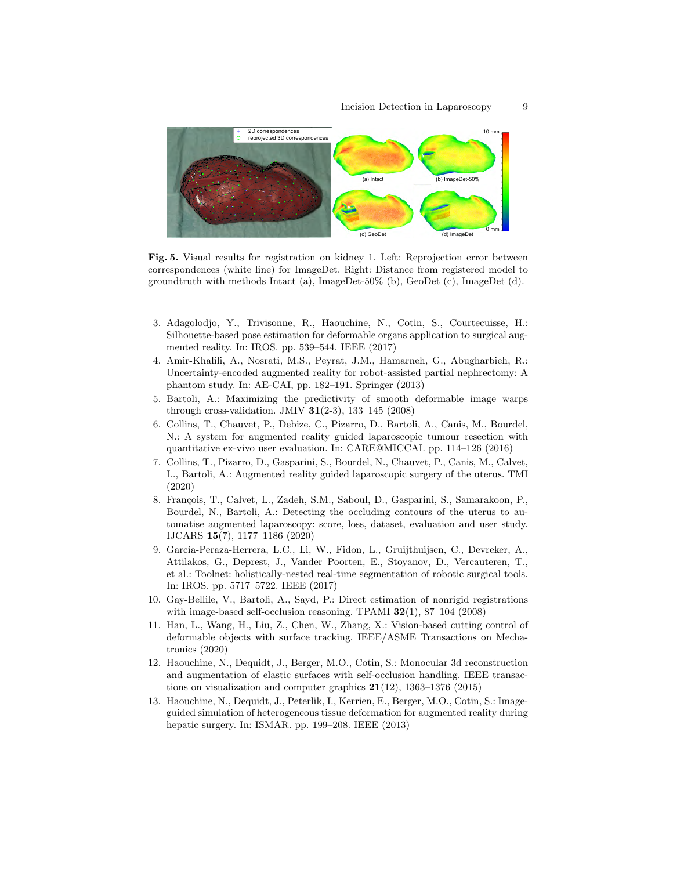

Fig. 5. Visual results for registration on kidney 1. Left: Reprojection error between correspondences (white line) for ImageDet. Right: Distance from registered model to groundtruth with methods Intact (a), ImageDet-50% (b), GeoDet (c), ImageDet (d).

- 3. Adagolodjo, Y., Trivisonne, R., Haouchine, N., Cotin, S., Courtecuisse, H.: Silhouette-based pose estimation for deformable organs application to surgical augmented reality. In: IROS. pp. 539–544. IEEE (2017)
- 4. Amir-Khalili, A., Nosrati, M.S., Peyrat, J.M., Hamarneh, G., Abugharbieh, R.: Uncertainty-encoded augmented reality for robot-assisted partial nephrectomy: A phantom study. In: AE-CAI, pp. 182–191. Springer (2013)
- 5. Bartoli, A.: Maximizing the predictivity of smooth deformable image warps through cross-validation. JMIV  $31(2-3)$ , 133-145 (2008)
- 6. Collins, T., Chauvet, P., Debize, C., Pizarro, D., Bartoli, A., Canis, M., Bourdel, N.: A system for augmented reality guided laparoscopic tumour resection with quantitative ex-vivo user evaluation. In: CARE@MICCAI. pp. 114–126 (2016)
- 7. Collins, T., Pizarro, D., Gasparini, S., Bourdel, N., Chauvet, P., Canis, M., Calvet, L., Bartoli, A.: Augmented reality guided laparoscopic surgery of the uterus. TMI (2020)
- 8. François, T., Calvet, L., Zadeh, S.M., Saboul, D., Gasparini, S., Samarakoon, P., Bourdel, N., Bartoli, A.: Detecting the occluding contours of the uterus to automatise augmented laparoscopy: score, loss, dataset, evaluation and user study. IJCARS 15(7), 1177–1186 (2020)
- 9. Garcia-Peraza-Herrera, L.C., Li, W., Fidon, L., Gruijthuijsen, C., Devreker, A., Attilakos, G., Deprest, J., Vander Poorten, E., Stoyanov, D., Vercauteren, T., et al.: Toolnet: holistically-nested real-time segmentation of robotic surgical tools. In: IROS. pp. 5717–5722. IEEE (2017)
- 10. Gay-Bellile, V., Bartoli, A., Sayd, P.: Direct estimation of nonrigid registrations with image-based self-occlusion reasoning. TPAMI  $32(1)$ ,  $87-104$   $(2008)$
- 11. Han, L., Wang, H., Liu, Z., Chen, W., Zhang, X.: Vision-based cutting control of deformable objects with surface tracking. IEEE/ASME Transactions on Mechatronics (2020)
- 12. Haouchine, N., Dequidt, J., Berger, M.O., Cotin, S.: Monocular 3d reconstruction and augmentation of elastic surfaces with self-occlusion handling. IEEE transactions on visualization and computer graphics  $21(12)$ , 1363–1376 (2015)
- 13. Haouchine, N., Dequidt, J., Peterlik, I., Kerrien, E., Berger, M.O., Cotin, S.: Imageguided simulation of heterogeneous tissue deformation for augmented reality during hepatic surgery. In: ISMAR. pp. 199–208. IEEE (2013)